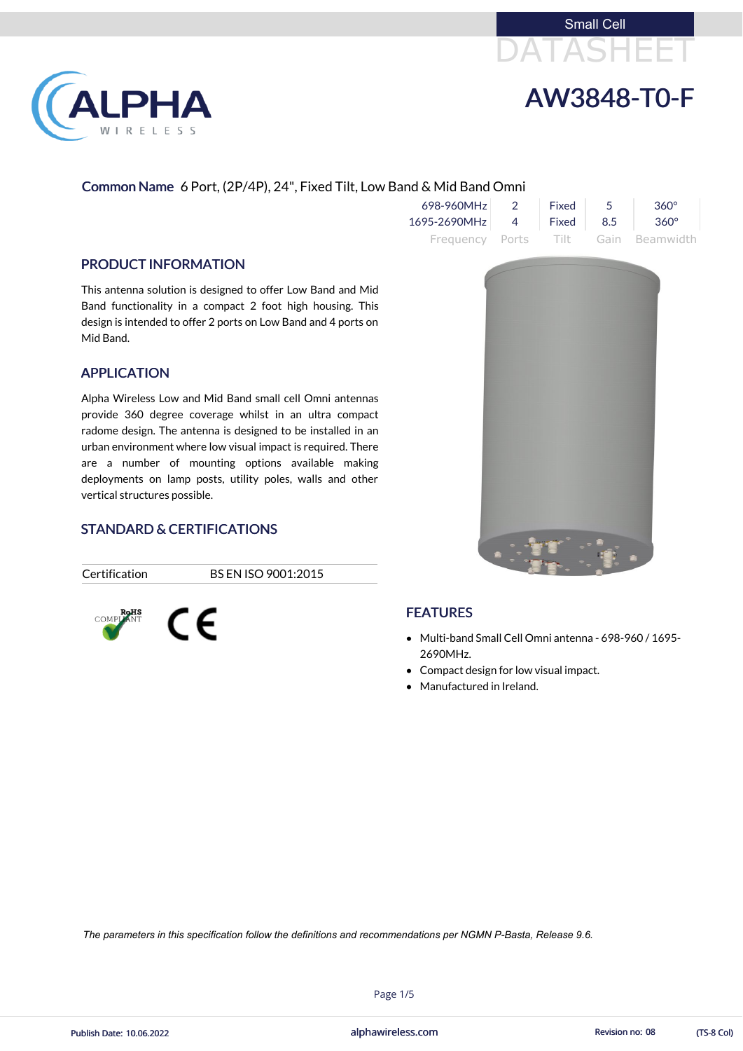



# AW3848-T0-F

# Common Name 6 Port, (2P/4P), 24", Fixed Tilt, Low Band & Mid Band Omni

| $698 - 960$ MHz $\vert$ 2 | $\vdash$ Fixed $\vdash$ | $360^\circ$                         |
|---------------------------|-------------------------|-------------------------------------|
| 1695-2690MHz 4 Fixed 8.5  |                         | $360^\circ$                         |
|                           |                         | Frequency Ports Tilt Gain Beamwidth |

### PRODUCT INFORMATION

This antenna solution is designed to offer Low Band and Mid Band functionality in a compact 2 foot high housing. This design is intended to offer 2 ports on Low Band and 4 ports on Mid Band.

# APPLICATION

- Multi-band Small Cell Omni antenna 698-960 / 1695- 2690MHz.
- Compact design for low visual impact.
- Manufactured in Ireland.

Alpha Wireless Low and Mid Band small cell Omni antennas provide 360 degree coverage whilst in an ultra compact radome design. The antenna is designed to be installed in an urban environment where low visual impact is required. There are a number of mounting options available making deployments on lamp posts, utility poles, walls and other vertical structures possible.

# STANDARD & CERTIFICATIONS

Certification BS EN ISO 9001:2015





# **FEATURES**

alphawireless.com

Page 1/5

*The parameters in this specification follow the definitions and recommendations per NGMN P-Basta, Release 9.6.*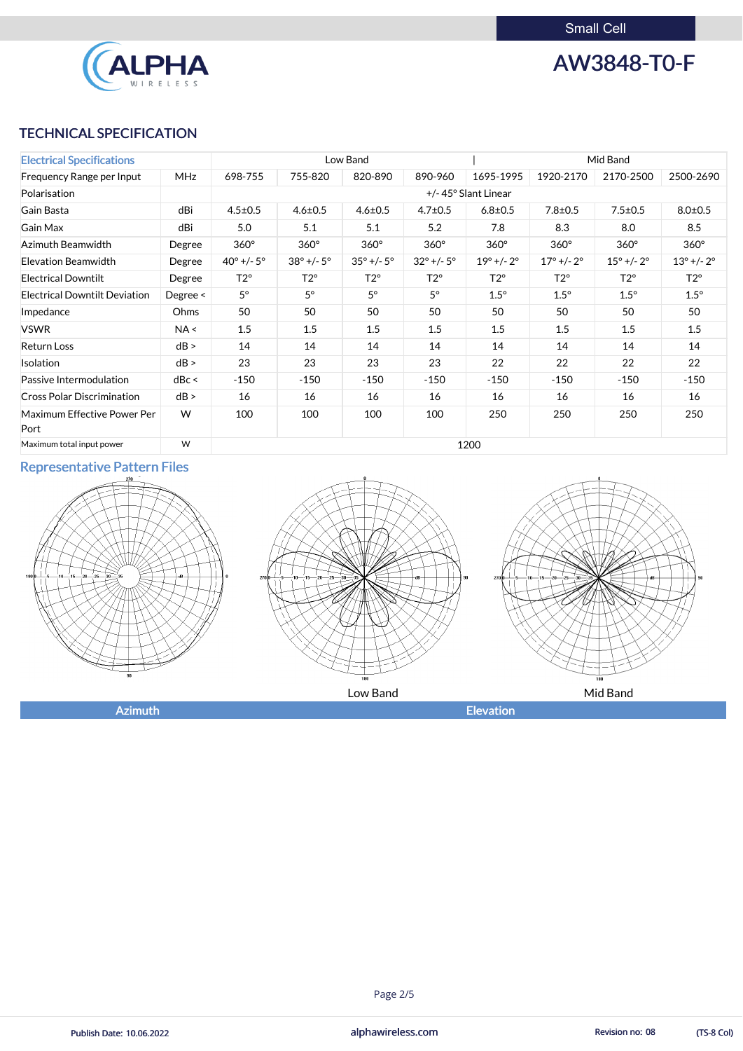Small Cell



AW3848-T0-F

# TECHNICAL SPECIFICATION

| <b>Electrical Specifications</b>     |               | Low Band                     |                              |                              | Mid Band                     |                              |                              |                              |                              |
|--------------------------------------|---------------|------------------------------|------------------------------|------------------------------|------------------------------|------------------------------|------------------------------|------------------------------|------------------------------|
| Frequency Range per Input            | <b>MHz</b>    | 698-755                      | 755-820                      | 820-890                      | 890-960                      | 1695-1995                    | 1920-2170                    | 2170-2500                    | 2500-2690                    |
| Polarisation                         |               |                              | +/-45° Slant Linear          |                              |                              |                              |                              |                              |                              |
| Gain Basta                           | dBi           | $4.5 \pm 0.5$                | $4.6 \pm 0.5$                | $4.6 \pm 0.5$                | $4.7 \pm 0.5$                | $6.8 \pm 0.5$                | $7.8 \pm 0.5$                | $7.5 \pm 0.5$                | $8.0 \pm 0.5$                |
| <b>Gain Max</b>                      | dBi           | 5.0                          | 5.1                          | 5.1                          | 5.2                          | 7.8                          | 8.3                          | 8.0                          | 8.5                          |
| Azimuth Beamwidth                    | Degree        | $360^\circ$                  | $360^\circ$                  | $360^\circ$                  | $360^\circ$                  | $360^\circ$                  | $360^\circ$                  | $360^\circ$                  | $360^\circ$                  |
| <b>Elevation Beamwidth</b>           | Degree        | $40^{\circ}$ +/- $5^{\circ}$ | $38^{\circ}$ +/- $5^{\circ}$ | $35^{\circ}$ +/- $5^{\circ}$ | $32^{\circ}$ +/- $5^{\circ}$ | $19^{\circ}$ +/- $2^{\circ}$ | $17^{\circ}$ +/- $2^{\circ}$ | $15^{\circ}$ +/- $2^{\circ}$ | $13^{\circ}$ +/- $2^{\circ}$ |
| <b>Electrical Downtilt</b>           | Degree        | $T2^{\circ}$                 | $T2^{\circ}$                 | $T2^{\circ}$                 | $T2^{\circ}$                 | $T2^{\circ}$                 | $T2^{\circ}$                 | $T2^{\circ}$                 | $T2^{\circ}$                 |
| <b>Electrical Downtilt Deviation</b> | Degree $\leq$ | $5^{\circ}$                  | $5^\circ$                    | $5^{\circ}$                  | $5^\circ$                    | $1.5^\circ$                  | $1.5^\circ$                  | $1.5^\circ$                  | $1.5^\circ$                  |
| Impedance                            | Ohms          | 50                           | 50                           | 50                           | 50                           | 50                           | 50                           | 50                           | 50                           |
| <b>VSWR</b>                          | NA <          | 1.5                          | 1.5                          | 1.5                          | 1.5                          | 1.5                          | 1.5                          | 1.5                          | 1.5                          |
| <b>Return Loss</b>                   | dB >          | 14                           | 14                           | 14                           | 14                           | 14                           | 14                           | 14                           | 14                           |
| Isolation                            | dB >          | 23                           | 23                           | 23                           | 23                           | 22                           | 22                           | 22                           | 22                           |
| Passive Intermodulation              | dBc <         | $-150$                       | $-150$                       | $-150$                       | $-150$                       | $-150$                       | $-150$                       | $-150$                       | $-150$                       |
| <b>Cross Polar Discrimination</b>    | dB >          | 16                           | 16                           | 16                           | 16                           | 16                           | 16                           | 16                           | 16                           |
| Maximum Effective Power Per          | W             | 100                          | 100                          | 100                          | 100                          | 250                          | 250                          | 250                          | 250                          |
| Port<br>Maximum total input power    | W             |                              |                              |                              |                              | 1200                         |                              |                              |                              |

# Representative Pattern Files







alphawireless.com

### Page 2/5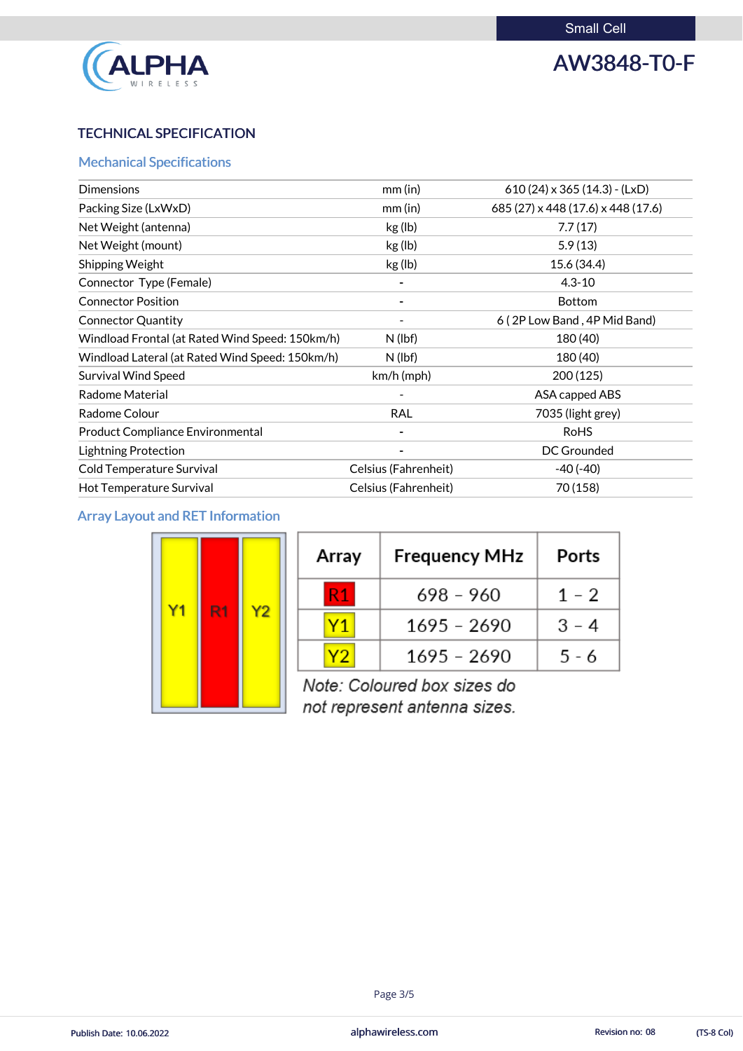

# AW3848-T0-F

# TECHNICAL SPECIFICATION

# Mechanical Specifications

| <b>Dimensions</b>                               | $mm$ (in)                | $610(24) \times 365(14.3)$ - (LxD) |
|-------------------------------------------------|--------------------------|------------------------------------|
| Packing Size (LxWxD)                            | $mm$ (in)                | 685 (27) x 448 (17.6) x 448 (17.6) |
| Net Weight (antenna)                            | kg (lb)                  | 7.7(17)                            |
| Net Weight (mount)                              | kg (lb)                  | 5.9(13)                            |
| Shipping Weight                                 | kg (lb)                  | 15.6 (34.4)                        |
| Connector Type (Female)                         | -                        | $4.3 - 10$                         |
| <b>Connector Position</b>                       | $\overline{\phantom{a}}$ | <b>Bottom</b>                      |
| <b>Connector Quantity</b>                       |                          | 6 (2P Low Band, 4P Mid Band)       |
| Windload Frontal (at Rated Wind Speed: 150km/h) | $N$ (lbf)                | 180 (40)                           |
| Windload Lateral (at Rated Wind Speed: 150km/h) | $N$ (lbf)                | 180 (40)                           |
| <b>Survival Wind Speed</b>                      | $km/h$ (mph)             | 200 (125)                          |
| <b>Radome Material</b>                          |                          | ASA capped ABS                     |
| Radome Colour                                   | <b>RAL</b>               | 7035 (light grey)                  |
| <b>Product Compliance Environmental</b>         |                          | <b>RoHS</b>                        |
| <b>Lightning Protection</b>                     |                          | DC Grounded                        |
| Cold Temperature Survival                       | Celsius (Fahrenheit)     | $-40(-40)$                         |
| Hot Temperature Survival                        | Celsius (Fahrenheit)     | 70 (158)                           |

# Array Layout and RET Information

| Y <sub>1</sub> | R <sub>1</sub> | Y <sub>2</sub> |
|----------------|----------------|----------------|
|----------------|----------------|----------------|

| Array | <b>Frequency MHz</b> | Ports   |  |
|-------|----------------------|---------|--|
| R1    | 698 - 960            | $1 - 2$ |  |
| Υ1    | 1695 - 2690          | $3 - 4$ |  |
|       | 1695 - 2690          | 5 - 6   |  |

Note: Coloured box sizes do not represent antenna sizes.

alphawireless.com

### Page 3/5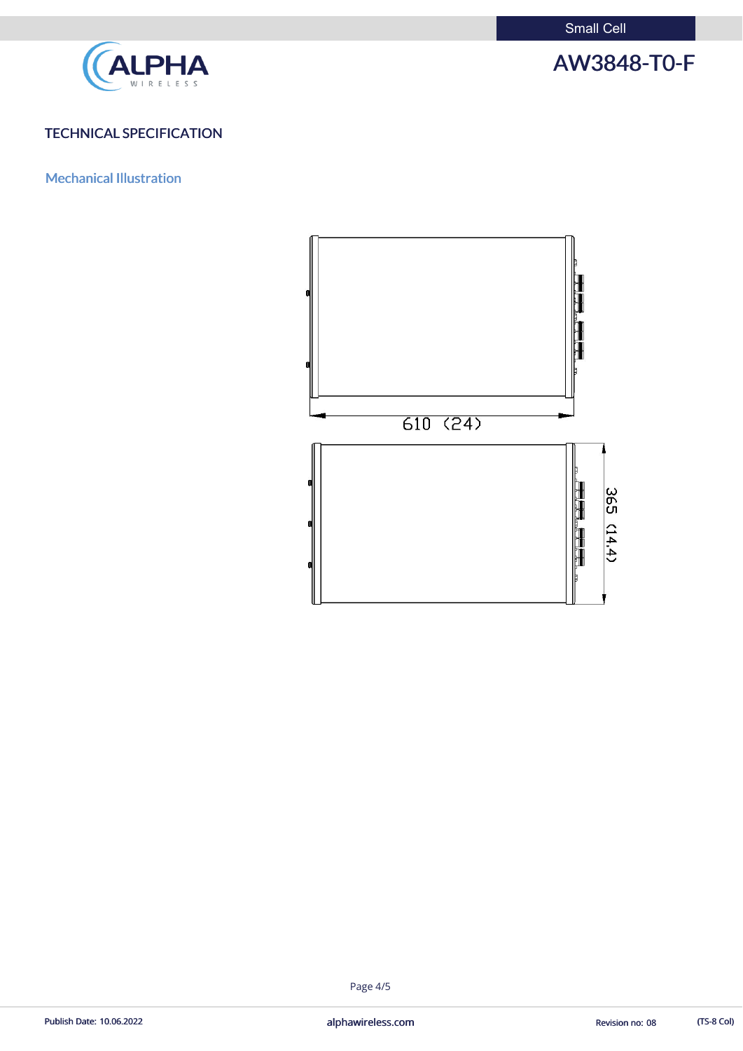Small Cell



# AW3848-T0-F

# TECHNICAL SPECIFICATION

Mechanical Illustration



### Page 4/5